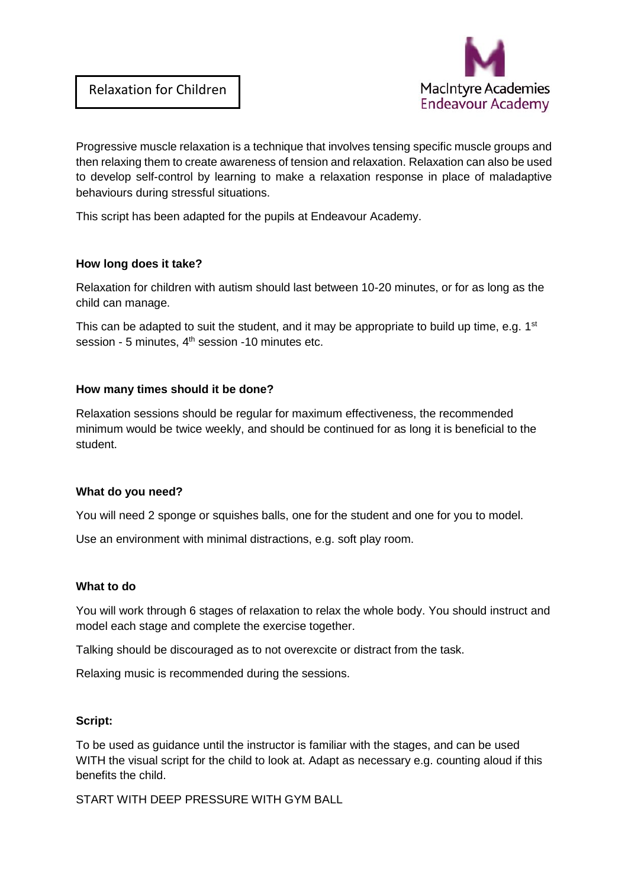

Progressive muscle relaxation is a technique that involves tensing specific muscle groups and then relaxing them to create awareness of tension and relaxation. Relaxation can also be used to develop self-control by learning to make a relaxation response in place of maladaptive behaviours during stressful situations.

This script has been adapted for the pupils at Endeavour Academy.

#### **How long does it take?**

Relaxation for children with autism should last between 10-20 minutes, or for as long as the child can manage.

This can be adapted to suit the student, and it may be appropriate to build up time, e.g.  $1<sup>st</sup>$ session - 5 minutes, 4<sup>th</sup> session -10 minutes etc.

## **How many times should it be done?**

Relaxation sessions should be regular for maximum effectiveness, the recommended minimum would be twice weekly, and should be continued for as long it is beneficial to the student.

#### **What do you need?**

You will need 2 sponge or squishes balls, one for the student and one for you to model.

Use an environment with minimal distractions, e.g. soft play room.

#### **What to do**

You will work through 6 stages of relaxation to relax the whole body. You should instruct and model each stage and complete the exercise together.

Talking should be discouraged as to not overexcite or distract from the task.

Relaxing music is recommended during the sessions.

#### **Script:**

To be used as guidance until the instructor is familiar with the stages, and can be used WITH the visual script for the child to look at. Adapt as necessary e.g. counting aloud if this benefits the child.

START WITH DEEP PRESSURE WITH GYM BALL